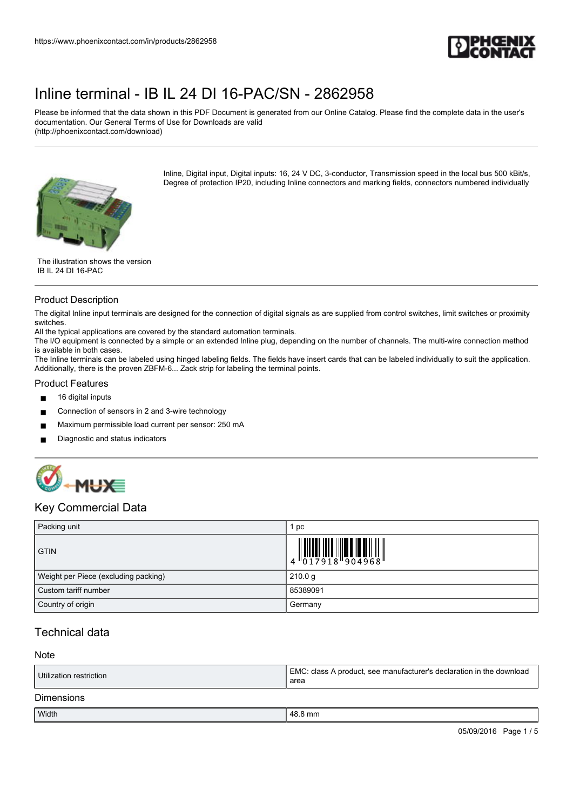

Please be informed that the data shown in this PDF Document is generated from our Online Catalog. Please find the complete data in the user's documentation. Our General Terms of Use for Downloads are valid (http://phoenixcontact.com/download)

Inline, Digital input, Digital inputs: 16, 24 V DC, 3-conductor, Transmission speed in the local bus 500 kBit/s, Degree of protection IP20, including Inline connectors and marking fields, connectors numbered individually



#### Product Description

The digital Inline input terminals are designed for the connection of digital signals as are supplied from control switches, limit switches or proximity switches.

All the typical applications are covered by the standard automation terminals.

The I/O equipment is connected by a simple or an extended Inline plug, depending on the number of channels. The multi-wire connection method is available in both cases.

The Inline terminals can be labeled using hinged labeling fields. The fields have insert cards that can be labeled individually to suit the application. Additionally, there is the proven ZBFM-6... Zack strip for labeling the terminal points.

#### Product Features

- 16 digital inputs
- Connection of sensors in 2 and 3-wire technology
- Maximum permissible load current per sensor: 250 mA
- Diagnostic and status indicators



### Key Commercial Data

| Packing unit                         | рc                                                                                                                                                                                                                                                                                                                       |  |
|--------------------------------------|--------------------------------------------------------------------------------------------------------------------------------------------------------------------------------------------------------------------------------------------------------------------------------------------------------------------------|--|
| <b>GTIN</b>                          | $\begin{array}{c} 1 & 0 & 0 & 0 & 0 \\ 0 & 0 & 1 & 7 & 9 & 1 & 8 \\ 0 & 0 & 1 & 7 & 9 & 1 & 8 \\ 0 & 0 & 0 & 0 & 9 & 1 & 9 \\ 0 & 0 & 0 & 0 & 0 & 0 & 0 \\ 0 & 0 & 0 & 0 & 0 & 0 & 0 \\ 0 & 0 & 0 & 0 & 0 & 0 & 0 \\ 0 & 0 & 0 & 0 & 0 & 0 & 0 \\ 0 & 0 & 0 & 0 & 0 & 0 & 0 & 0 \\ 0 & 0 & 0 & 0 & 0 & 0 & 0 & 0 \\ 0 &$ |  |
| Weight per Piece (excluding packing) | 210.0 g                                                                                                                                                                                                                                                                                                                  |  |
| Custom tariff number                 | 85389091                                                                                                                                                                                                                                                                                                                 |  |
| Country of origin                    | Germany                                                                                                                                                                                                                                                                                                                  |  |

### Technical data

#### Note

| Utilization restriction | I EMC: class A product, see manufacturer's declaration in the download<br>area |
|-------------------------|--------------------------------------------------------------------------------|
| <b>Dimensions</b>       |                                                                                |

| Width | $\ddot{\phantom{0}}$<br>mm |
|-------|----------------------------|
|       |                            |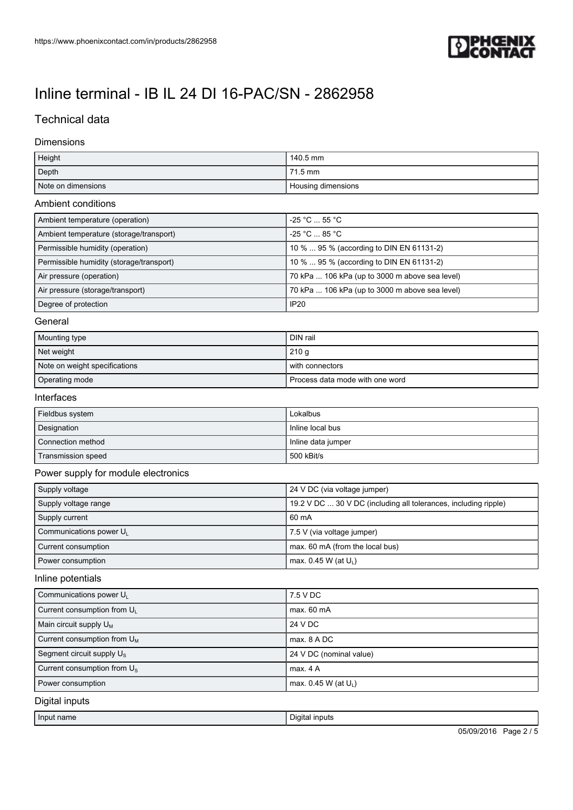

## Technical data

#### Dimensions

| Height                                   | 140.5 mm                                                        |
|------------------------------------------|-----------------------------------------------------------------|
| Depth                                    | 71.5 mm                                                         |
| Note on dimensions                       | Housing dimensions                                              |
| Ambient conditions                       |                                                                 |
| Ambient temperature (operation)          | -25 °C  55 °C                                                   |
| Ambient temperature (storage/transport)  | -25 °C  85 °C                                                   |
| Permissible humidity (operation)         | 10 %  95 % (according to DIN EN 61131-2)                        |
| Permissible humidity (storage/transport) | 10 %  95 % (according to DIN EN 61131-2)                        |
| Air pressure (operation)                 | 70 kPa  106 kPa (up to 3000 m above sea level)                  |
| Air pressure (storage/transport)         | 70 kPa  106 kPa (up to 3000 m above sea level)                  |
| Degree of protection                     | <b>IP20</b>                                                     |
| General                                  |                                                                 |
| Mounting type                            | DIN rail                                                        |
| Net weight                               | 210 g                                                           |
| Note on weight specifications            | with connectors                                                 |
| Operating mode                           | Process data mode with one word                                 |
| Interfaces                               |                                                                 |
| Fieldbus system                          | Lokalbus                                                        |
| Designation                              | Inline local bus                                                |
| Connection method                        | Inline data jumper                                              |
| Transmission speed                       | 500 kBit/s                                                      |
| Power supply for module electronics      |                                                                 |
| Supply voltage                           | 24 V DC (via voltage jumper)                                    |
| Supply voltage range                     | 19.2 V DC  30 V DC (including all tolerances, including ripple) |
| Supply current                           | 60 mA                                                           |
| Communications power UL                  | 7.5 V (via voltage jumper)                                      |
| Current consumption                      | max. 60 mA (from the local bus)                                 |
| Power consumption                        | max. 0.45 W (at $U_L$ )                                         |
| Inline potentials                        |                                                                 |
| Communications power UL                  | 7.5 V DC                                                        |
| Current consumption from UL              | max. 60 mA                                                      |
| Main circuit supply $U_M$                | 24 V DC                                                         |
| Current consumption from U <sub>M</sub>  | max. 8 A DC                                                     |
| Segment circuit supply U <sub>s</sub>    | 24 V DC (nominal value)                                         |
| Current consumption from U <sub>s</sub>  | max. 4 A                                                        |
| Power consumption                        | max. 0.45 W (at U <sub>1</sub> )                                |
| Digital inputs                           |                                                                 |

Input name Digital inputs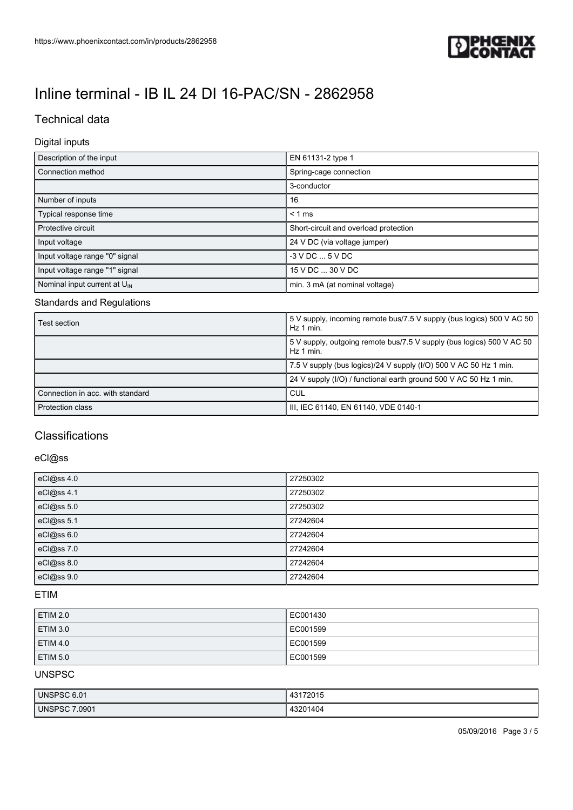

## Technical data

### Digital inputs

| Description of the input                 | EN 61131-2 type 1                     |  |  |
|------------------------------------------|---------------------------------------|--|--|
| Connection method                        | Spring-cage connection                |  |  |
|                                          | 3-conductor                           |  |  |
| Number of inputs                         | 16                                    |  |  |
| Typical response time                    | $< 1$ ms                              |  |  |
| Protective circuit                       | Short-circuit and overload protection |  |  |
| Input voltage                            | 24 V DC (via voltage jumper)          |  |  |
| Input voltage range "0" signal           | $-3$ V DC $$ 5 V DC                   |  |  |
| Input voltage range "1" signal           | 15 V DC  30 V DC                      |  |  |
| Nominal input current at $U_{\text{IN}}$ | min. 3 mA (at nominal voltage)        |  |  |

#### Standards and Regulations

| Test section                     | 5V supply, incoming remote bus/7.5 V supply (bus logics) 500 V AC 50<br>i Hz 1 min. |  |
|----------------------------------|-------------------------------------------------------------------------------------|--|
|                                  | 5 V supply, outgoing remote bus/7.5 V supply (bus logics) 500 V AC 50<br>Hz 1 min.  |  |
|                                  | 7.5 V supply (bus logics)/24 V supply (I/O) 500 V AC 50 Hz 1 min.                   |  |
|                                  | 24 V supply (I/O) / functional earth ground 500 V AC 50 Hz 1 min.                   |  |
| Connection in acc. with standard | <b>CUL</b>                                                                          |  |
| <b>Protection class</b>          | IIII, IEC 61140, EN 61140, VDE 0140-1                                               |  |

### **Classifications**

## eCl@ss

| eCl@ss 4.0 | 27250302 |
|------------|----------|
| eCl@ss 4.1 | 27250302 |
| eCl@ss 5.0 | 27250302 |
| eCl@ss 5.1 | 27242604 |
| eCl@ss 6.0 | 27242604 |
| eCl@ss 7.0 | 27242604 |
| eCl@ss 8.0 | 27242604 |
| eCl@ss 9.0 | 27242604 |

#### ETIM

| ETIM 2.0            | EC001430 |
|---------------------|----------|
| ETIM 3.0            | EC001599 |
| ETIM <sub>4.0</sub> | EC001599 |
| ETIM 5.0            | EC001599 |

### UNSPSC

| UNSPSC 6.01               | 47004E<br>43<br>ZU 10                |
|---------------------------|--------------------------------------|
| <b>UNSPSC 7</b><br>7.0901 | 1404<br>1000<br>$\mathbf{r}$<br>____ |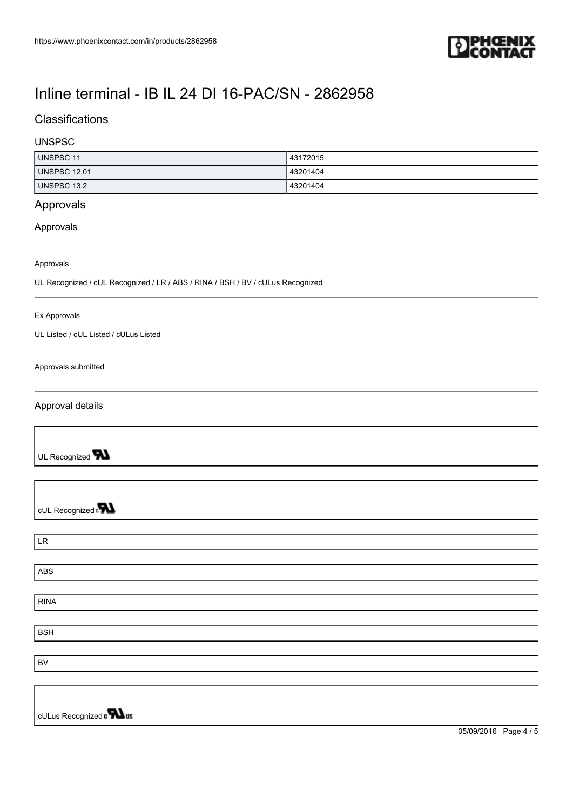

## **Classifications**

### UNSPSC

| UNSPSC 11    | 43172015 |
|--------------|----------|
| UNSPSC 12.01 | 43201404 |
| UNSPSC 13.2  | 43201404 |

## Approvals

#### Approvals

#### Approvals

UL Recognized / cUL Recognized / LR / ABS / RINA / BSH / BV / cULus Recognized

#### Ex Approvals

UL Listed / cUL Listed / cULus Listed

#### Approvals submitted

#### Approval details

UL Recognized **W** 

cUL Recognized **PN** 

| $\ensuremath{\mathsf{LR}}\xspace$ |  |  |
|-----------------------------------|--|--|
|                                   |  |  |
| ABS                               |  |  |
|                                   |  |  |
| <b>RINA</b>                       |  |  |
|                                   |  |  |
| <b>BSH</b>                        |  |  |
|                                   |  |  |
| <b>BV</b>                         |  |  |
|                                   |  |  |
|                                   |  |  |
|                                   |  |  |

cULus Recognized on **What** 

05/09/2016 Page 4 / 5